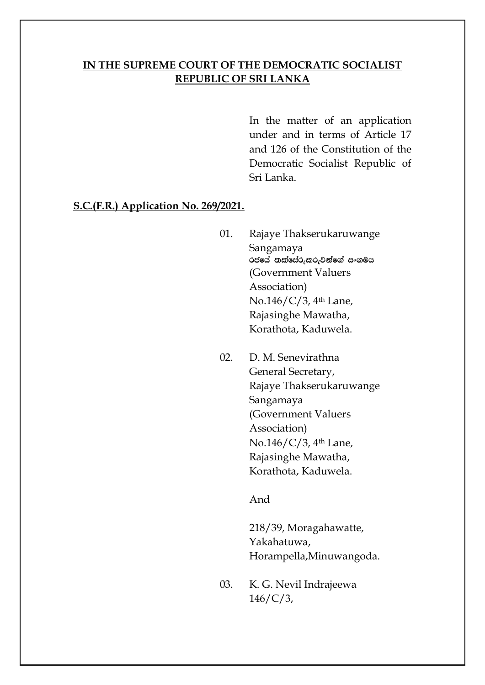### **IN THE SUPREME COURT OF THE DEMOCRATIC SOCIALIST REPUBLIC OF SRI LANKA**

In the matter of an application under and in terms of Article 17 and 126 of the Constitution of the Democratic Socialist Republic of Sri Lanka.

#### **S.C.(F.R.) Application No. 269/2021.**

- 01. Rajaye Thakserukaruwange Sangamaya රජයේ තක්සේරුකරුවන්ගේ සංගමය (Government Valuers Association) No.146/C/3, 4th Lane, Rajasinghe Mawatha, Korathota, Kaduwela.
- 02. D. M. Senevirathna General Secretary, Rajaye Thakserukaruwange Sangamaya (Government Valuers Association) No.146/C/3, 4th Lane, Rajasinghe Mawatha, Korathota, Kaduwela.

And

218/39, Moragahawatte, Yakahatuwa, Horampella,Minuwangoda.

03. K. G. Nevil Indrajeewa  $146/C/3$ ,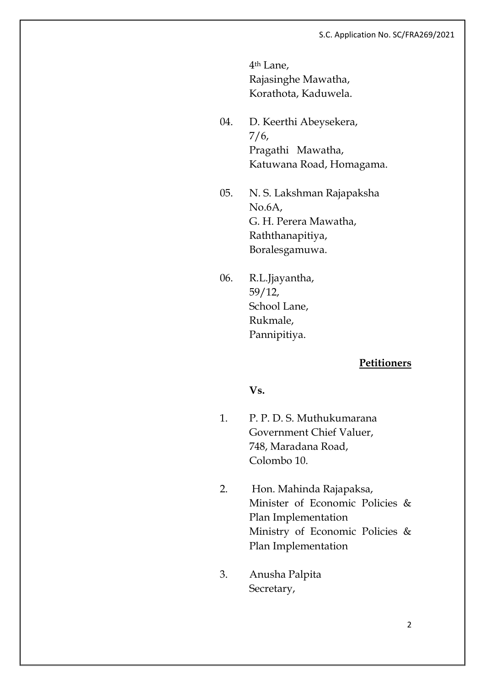4th Lane, Rajasinghe Mawatha, Korathota, Kaduwela.

- 04. D. Keerthi Abeysekera, 7/6, Pragathi Mawatha, Katuwana Road, Homagama.
- 05. N. S. Lakshman Rajapaksha No.6A, G. H. Perera Mawatha, Raththanapitiya, Boralesgamuwa.
- 06. R.L.Jjayantha, 59/12, School Lane, Rukmale, Pannipitiya.

### **Petitioners**

**Vs.**

- 1. P. P. D. S. Muthukumarana Government Chief Valuer, 748, Maradana Road, Colombo 10.
- 2. Hon. Mahinda Rajapaksa, Minister of Economic Policies & Plan Implementation Ministry of Economic Policies & Plan Implementation
- 3. Anusha Palpita Secretary,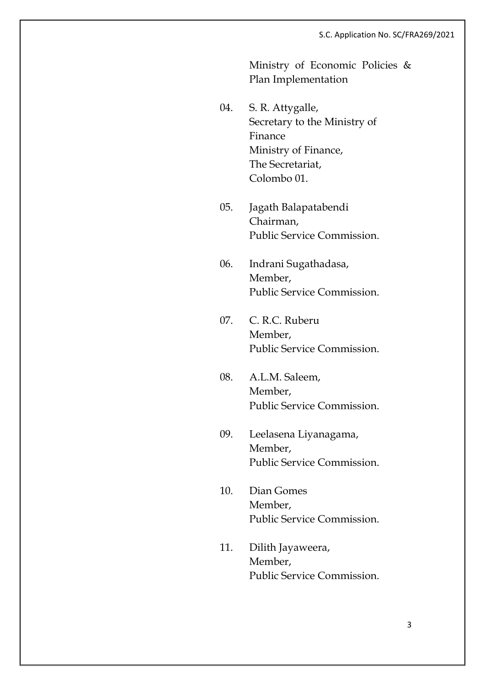Ministry of Economic Policies & Plan Implementation

- 04. S. R. Attygalle, Secretary to the Ministry of Finance Ministry of Finance, The Secretariat, Colombo 01.
- 05. Jagath Balapatabendi Chairman, Public Service Commission.
- 06. Indrani Sugathadasa, Member, Public Service Commission.
- 07. C. R.C. Ruberu Member, Public Service Commission.
- 08. A.L.M. Saleem, Member, Public Service Commission.
- 09. Leelasena Liyanagama, Member, Public Service Commission.
- 10. Dian Gomes Member, Public Service Commission.
- 11. Dilith Jayaweera, Member, Public Service Commission.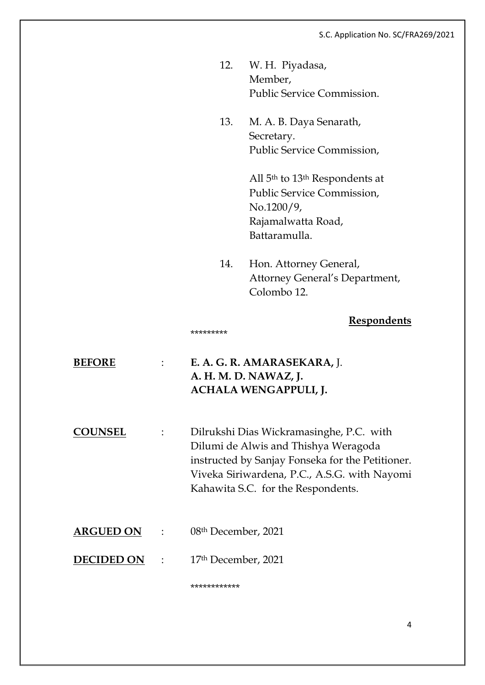- 12. W. H. Piyadasa, Member, Public Service Commission.
- 13. M. A. B. Daya Senarath, Secretary. Public Service Commission,

All 5th to 13th Respondents at Public Service Commission, No.1200/9, Rajamalwatta Road, Battaramulla.

14. Hon. Attorney General, Attorney General's Department, Colombo 12.

### **Respondents**

\*\*\*\*\*\*\*\*\*

**BEFORE** : **E. A. G. R. AMARASEKARA,** J. **A. H. M. D. NAWAZ, J. ACHALA WENGAPPULI, J. COUNSEL** : Dilrukshi Dias Wickramasinghe, P.C. with Dilumi de Alwis and Thishya Weragoda instructed by Sanjay Fonseka for the Petitioner. Viveka Siriwardena, P.C., A.S.G. with Nayomi Kahawita S.C. for the Respondents. **ARGUED ON** : 08th December, 2021

**DECIDED ON** : 17th December, 2021

\*\*\*\*\*\*\*\*\*\*\*\*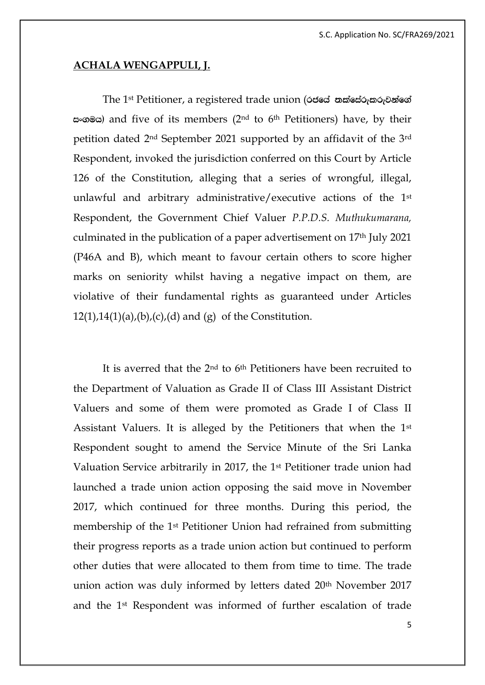#### **ACHALA WENGAPPULI, J.**

The 1<sup>st</sup> Petitioner, a registered trade union (out and mateuration in the 1st Petitioner, a registered trade union  $\infty$  and five of its members (2<sup>nd</sup> to 6<sup>th</sup> Petitioners) have, by their petition dated 2nd September 2021 supported by an affidavit of the 3rd Respondent, invoked the jurisdiction conferred on this Court by Article 126 of the Constitution, alleging that a series of wrongful, illegal, unlawful and arbitrary administrative/executive actions of the 1st Respondent, the Government Chief Valuer *P.P.D.S. Muthukumarana,*  culminated in the publication of a paper advertisement on 17th July 2021 (P46A and B), which meant to favour certain others to score higher marks on seniority whilst having a negative impact on them, are violative of their fundamental rights as guaranteed under Articles  $12(1),14(1)(a),(b),(c),(d)$  and  $(g)$  of the Constitution.

It is averred that the 2nd to 6th Petitioners have been recruited to the Department of Valuation as Grade II of Class III Assistant District Valuers and some of them were promoted as Grade I of Class II Assistant Valuers. It is alleged by the Petitioners that when the 1st Respondent sought to amend the Service Minute of the Sri Lanka Valuation Service arbitrarily in 2017, the 1st Petitioner trade union had launched a trade union action opposing the said move in November 2017, which continued for three months. During this period, the membership of the 1st Petitioner Union had refrained from submitting their progress reports as a trade union action but continued to perform other duties that were allocated to them from time to time. The trade union action was duly informed by letters dated 20th November 2017 and the 1st Respondent was informed of further escalation of trade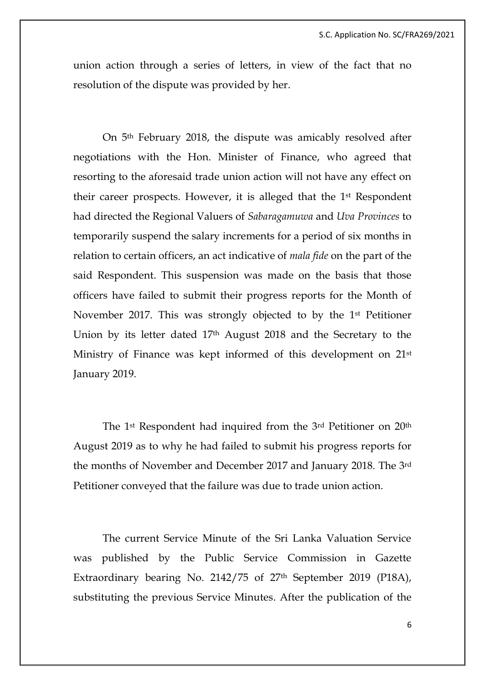union action through a series of letters, in view of the fact that no resolution of the dispute was provided by her.

On 5th February 2018, the dispute was amicably resolved after negotiations with the Hon. Minister of Finance, who agreed that resorting to the aforesaid trade union action will not have any effect on their career prospects. However, it is alleged that the 1st Respondent had directed the Regional Valuers of *Sabaragamuwa* and *Uva Provinces* to temporarily suspend the salary increments for a period of six months in relation to certain officers, an act indicative of *mala fide* on the part of the said Respondent. This suspension was made on the basis that those officers have failed to submit their progress reports for the Month of November 2017. This was strongly objected to by the 1st Petitioner Union by its letter dated 17th August 2018 and the Secretary to the Ministry of Finance was kept informed of this development on 21st January 2019.

The 1st Respondent had inquired from the 3rd Petitioner on 20th August 2019 as to why he had failed to submit his progress reports for the months of November and December 2017 and January 2018. The 3rd Petitioner conveyed that the failure was due to trade union action.

The current Service Minute of the Sri Lanka Valuation Service was published by the Public Service Commission in Gazette Extraordinary bearing No. 2142/75 of 27th September 2019 (P18A), substituting the previous Service Minutes. After the publication of the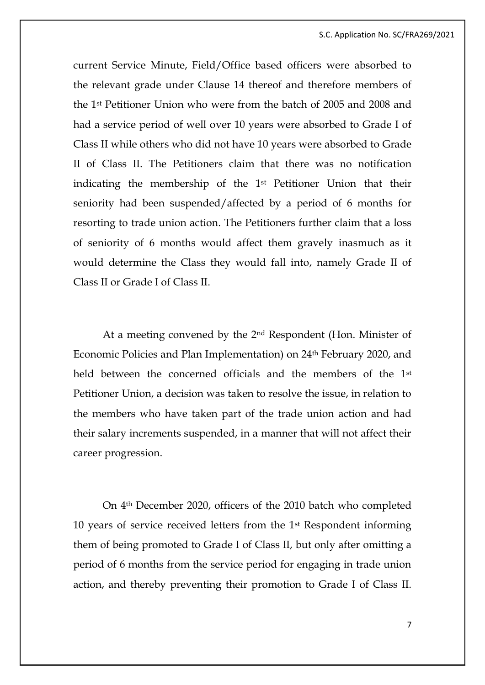current Service Minute, Field/Office based officers were absorbed to the relevant grade under Clause 14 thereof and therefore members of the 1st Petitioner Union who were from the batch of 2005 and 2008 and had a service period of well over 10 years were absorbed to Grade I of Class II while others who did not have 10 years were absorbed to Grade II of Class II. The Petitioners claim that there was no notification indicating the membership of the 1st Petitioner Union that their seniority had been suspended/affected by a period of 6 months for resorting to trade union action. The Petitioners further claim that a loss of seniority of 6 months would affect them gravely inasmuch as it would determine the Class they would fall into, namely Grade II of Class II or Grade I of Class II.

At a meeting convened by the 2nd Respondent (Hon. Minister of Economic Policies and Plan Implementation) on 24th February 2020, and held between the concerned officials and the members of the 1<sup>st</sup> Petitioner Union, a decision was taken to resolve the issue, in relation to the members who have taken part of the trade union action and had their salary increments suspended, in a manner that will not affect their career progression.

On 4th December 2020, officers of the 2010 batch who completed 10 years of service received letters from the 1st Respondent informing them of being promoted to Grade I of Class II, but only after omitting a period of 6 months from the service period for engaging in trade union action, and thereby preventing their promotion to Grade I of Class II.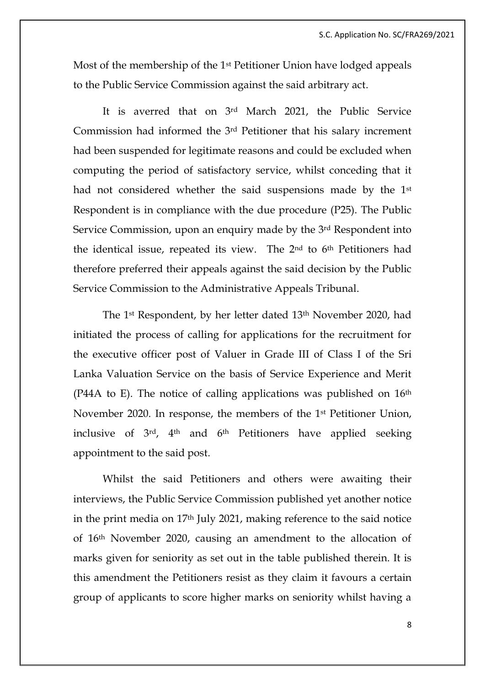Most of the membership of the 1st Petitioner Union have lodged appeals to the Public Service Commission against the said arbitrary act.

It is averred that on 3rd March 2021, the Public Service Commission had informed the 3rd Petitioner that his salary increment had been suspended for legitimate reasons and could be excluded when computing the period of satisfactory service, whilst conceding that it had not considered whether the said suspensions made by the 1<sup>st</sup> Respondent is in compliance with the due procedure (P25). The Public Service Commission, upon an enquiry made by the 3rd Respondent into the identical issue, repeated its view. The 2nd to 6th Petitioners had therefore preferred their appeals against the said decision by the Public Service Commission to the Administrative Appeals Tribunal.

The 1st Respondent, by her letter dated 13th November 2020, had initiated the process of calling for applications for the recruitment for the executive officer post of Valuer in Grade III of Class I of the Sri Lanka Valuation Service on the basis of Service Experience and Merit (P44A to E). The notice of calling applications was published on  $16<sup>th</sup>$ November 2020. In response, the members of the 1st Petitioner Union, inclusive of 3rd, 4th and 6th Petitioners have applied seeking appointment to the said post.

Whilst the said Petitioners and others were awaiting their interviews, the Public Service Commission published yet another notice in the print media on 17th July 2021, making reference to the said notice of 16th November 2020, causing an amendment to the allocation of marks given for seniority as set out in the table published therein. It is this amendment the Petitioners resist as they claim it favours a certain group of applicants to score higher marks on seniority whilst having a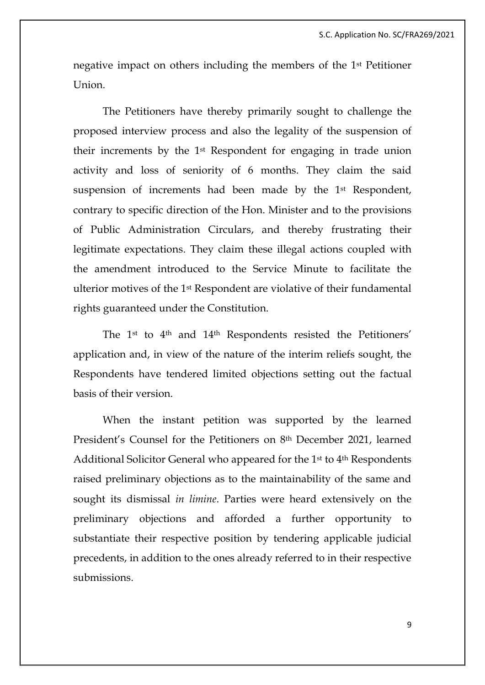negative impact on others including the members of the 1st Petitioner Union.

The Petitioners have thereby primarily sought to challenge the proposed interview process and also the legality of the suspension of their increments by the 1st Respondent for engaging in trade union activity and loss of seniority of 6 months. They claim the said suspension of increments had been made by the 1st Respondent, contrary to specific direction of the Hon. Minister and to the provisions of Public Administration Circulars, and thereby frustrating their legitimate expectations. They claim these illegal actions coupled with the amendment introduced to the Service Minute to facilitate the ulterior motives of the 1st Respondent are violative of their fundamental rights guaranteed under the Constitution.

The 1st to 4th and 14th Respondents resisted the Petitioners' application and, in view of the nature of the interim reliefs sought, the Respondents have tendered limited objections setting out the factual basis of their version.

When the instant petition was supported by the learned President's Counsel for the Petitioners on 8th December 2021, learned Additional Solicitor General who appeared for the 1st to 4th Respondents raised preliminary objections as to the maintainability of the same and sought its dismissal *in limine*. Parties were heard extensively on the preliminary objections and afforded a further opportunity to substantiate their respective position by tendering applicable judicial precedents, in addition to the ones already referred to in their respective submissions.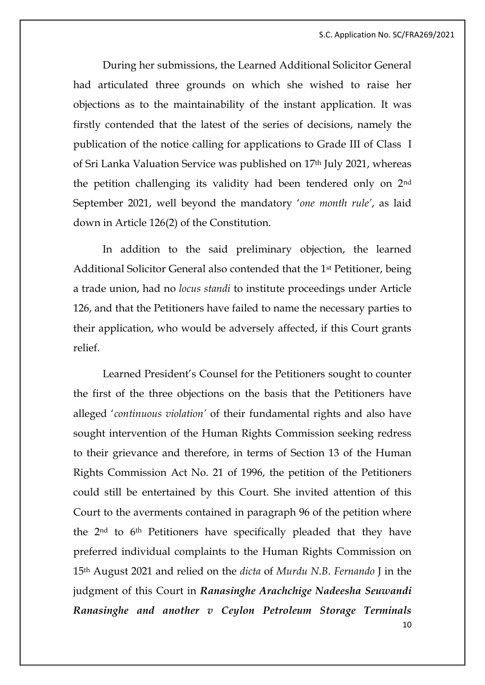During her submissions, the Learned Additional Solicitor General had articulated three grounds on which she wished to raise her objections as to the maintainability of the instant application. It was firstly contended that the latest of the series of decisions, namely the publication of the notice calling for applications to Grade III of Class I of Sri Lanka Valuation Service was published on 17th July 2021, whereas the petition challenging its validity had been tendered only on 2nd September 2021, well beyond the mandatory '*one month rule'*, as laid down in Article 126(2) of the Constitution.

In addition to the said preliminary objection, the learned Additional Solicitor General also contended that the 1st Petitioner, being a trade union, had no *locus standi* to institute proceedings under Article 126, and that the Petitioners have failed to name the necessary parties to their application, who would be adversely affected, if this Court grants relief.

10 Learned President's Counsel for the Petitioners sought to counter the first of the three objections on the basis that the Petitioners have alleged '*continuous violation'* of their fundamental rights and also have sought intervention of the Human Rights Commission seeking redress to their grievance and therefore, in terms of Section 13 of the Human Rights Commission Act No. 21 of 1996, the petition of the Petitioners could still be entertained by this Court. She invited attention of this Court to the averments contained in paragraph 96 of the petition where the 2nd to 6th Petitioners have specifically pleaded that they have preferred individual complaints to the Human Rights Commission on 15th August 2021 and relied on the *dicta* of *Murdu N.B. Fernando* J in the judgment of this Court in *Ranasinghe Arachchige Nadeesha Seuwandi Ranasinghe and another v Ceylon Petroleum Storage Terminals*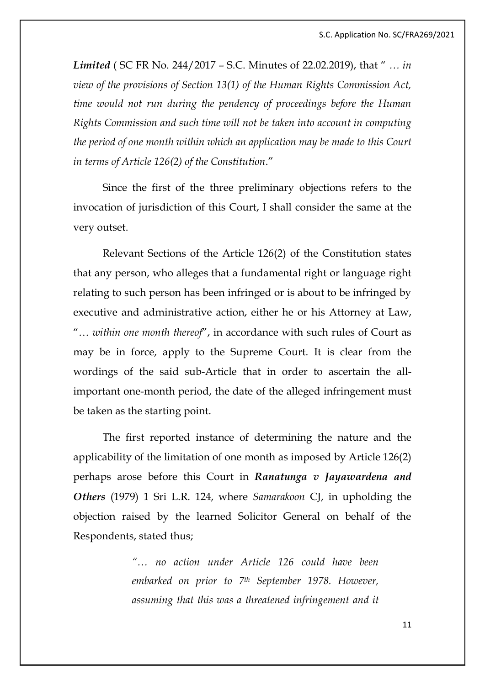*Limited* ( SC FR No. 244/2017 – S.C. Minutes of 22.02.2019), that " *… in view of the provisions of Section 13(1) of the Human Rights Commission Act, time would not run during the pendency of proceedings before the Human Rights Commission and such time will not be taken into account in computing the period of one month within which an application may be made to this Court in terms of Article 126(2) of the Constitution*."

Since the first of the three preliminary objections refers to the invocation of jurisdiction of this Court, I shall consider the same at the very outset.

Relevant Sections of the Article 126(2) of the Constitution states that any person, who alleges that a fundamental right or language right relating to such person has been infringed or is about to be infringed by executive and administrative action, either he or his Attorney at Law, "… *within one month thereof*", in accordance with such rules of Court as may be in force, apply to the Supreme Court. It is clear from the wordings of the said sub-Article that in order to ascertain the allimportant one-month period, the date of the alleged infringement must be taken as the starting point.

The first reported instance of determining the nature and the applicability of the limitation of one month as imposed by Article 126(2) perhaps arose before this Court in *Ranatunga v Jayawardena and Others* (1979) 1 Sri L.R. 124, where *Samarakoon* CJ, in upholding the objection raised by the learned Solicitor General on behalf of the Respondents, stated thus;

> *"… no action under Article 126 could have been embarked on prior to 7th September 1978. However, assuming that this was a threatened infringement and it*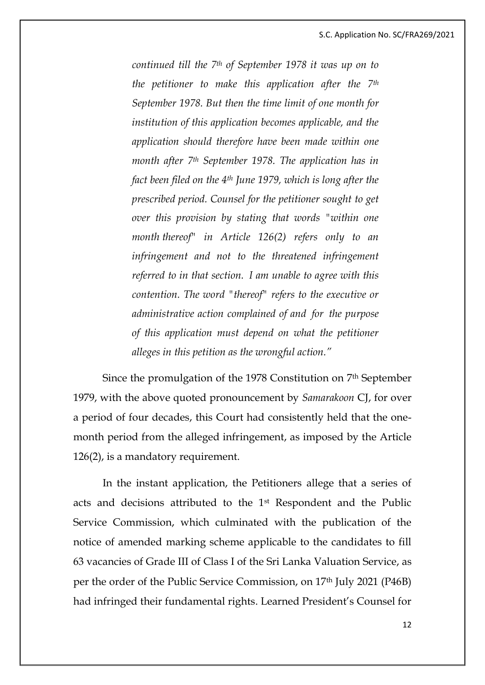*continued till the 7th of September 1978 it was up on to the petitioner to make this application after the 7th September 1978. But then the time limit of one month for institution of this application becomes applicable, and the application should therefore have been made within one month after 7th September 1978. The application has in fact been filed on the 4th June 1979, which is long after the prescribed period. Counsel for the petitioner sought to get over this provision by stating that words "within one month thereof" in Article 126(2) refers only to an infringement and not to the threatened infringement referred to in that section. I am unable to agree with this contention. The word "thereof" refers to the executive or administrative action complained of and for the purpose of this application must depend on what the petitioner alleges in this petition as the wrongful action."*

Since the promulgation of the 1978 Constitution on 7th September 1979, with the above quoted pronouncement by *Samarakoon* CJ, for over a period of four decades, this Court had consistently held that the onemonth period from the alleged infringement, as imposed by the Article 126(2), is a mandatory requirement.

In the instant application, the Petitioners allege that a series of acts and decisions attributed to the 1st Respondent and the Public Service Commission, which culminated with the publication of the notice of amended marking scheme applicable to the candidates to fill 63 vacancies of Grade III of Class I of the Sri Lanka Valuation Service, as per the order of the Public Service Commission, on 17th July 2021 (P46B) had infringed their fundamental rights. Learned President's Counsel for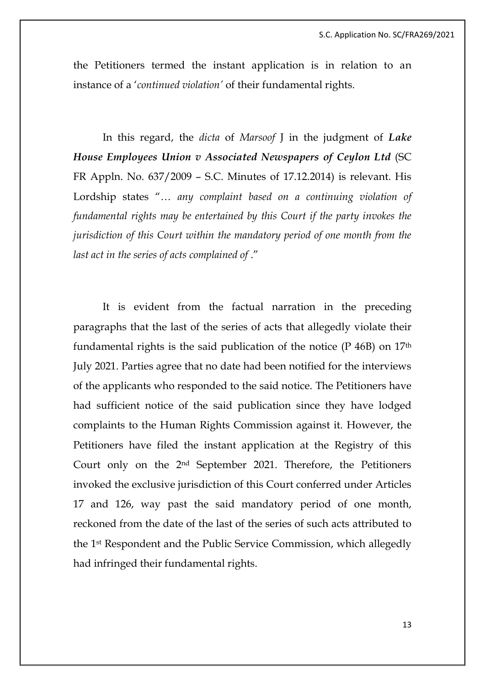the Petitioners termed the instant application is in relation to an instance of a '*continued violation'* of their fundamental rights.

In this regard, the *dicta* of *Marsoof* J in the judgment of *Lake House Employees Union v Associated Newspapers of Ceylon Ltd* (SC FR Appln. No. 637/2009 – S.C. Minutes of 17.12.2014) is relevant. His Lordship states "… *any complaint based on a continuing violation of fundamental rights may be entertained by this Court if the party invokes the jurisdiction of this Court within the mandatory period of one month from the last act in the series of acts complained of* ."

It is evident from the factual narration in the preceding paragraphs that the last of the series of acts that allegedly violate their fundamental rights is the said publication of the notice  $(P 46B)$  on  $17<sup>th</sup>$ July 2021. Parties agree that no date had been notified for the interviews of the applicants who responded to the said notice. The Petitioners have had sufficient notice of the said publication since they have lodged complaints to the Human Rights Commission against it. However, the Petitioners have filed the instant application at the Registry of this Court only on the 2nd September 2021. Therefore, the Petitioners invoked the exclusive jurisdiction of this Court conferred under Articles 17 and 126, way past the said mandatory period of one month, reckoned from the date of the last of the series of such acts attributed to the 1st Respondent and the Public Service Commission, which allegedly had infringed their fundamental rights.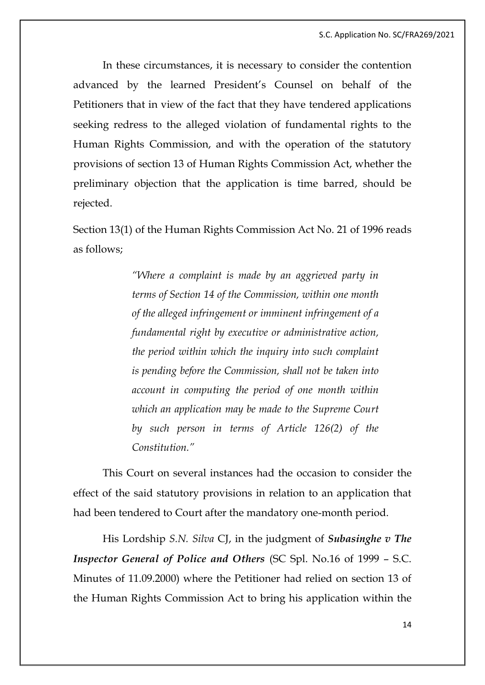In these circumstances, it is necessary to consider the contention advanced by the learned President's Counsel on behalf of the Petitioners that in view of the fact that they have tendered applications seeking redress to the alleged violation of fundamental rights to the Human Rights Commission, and with the operation of the statutory provisions of section 13 of Human Rights Commission Act, whether the preliminary objection that the application is time barred, should be rejected.

Section 13(1) of the Human Rights Commission Act No. 21 of 1996 reads as follows;

> *"Where a complaint is made by an aggrieved party in terms of Section 14 of the Commission, within one month of the alleged infringement or imminent infringement of a fundamental right by executive or administrative action, the period within which the inquiry into such complaint is pending before the Commission, shall not be taken into account in computing the period of one month within which an application may be made to the Supreme Court by such person in terms of Article 126(2) of the Constitution."*

This Court on several instances had the occasion to consider the effect of the said statutory provisions in relation to an application that had been tendered to Court after the mandatory one-month period.

His Lordship *S.N. Silva* CJ, in the judgment of *Subasinghe v The Inspector General of Police and Others* (SC Spl. No.16 of 1999 – S.C. Minutes of 11.09.2000) where the Petitioner had relied on section 13 of the Human Rights Commission Act to bring his application within the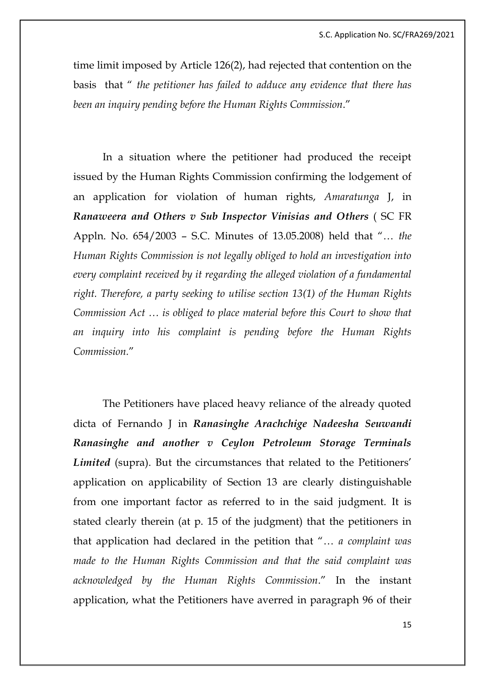time limit imposed by Article 126(2), had rejected that contention on the basis that " *the petitioner has failed to adduce any evidence that there has been an inquiry pending before the Human Rights Commission*."

In a situation where the petitioner had produced the receipt issued by the Human Rights Commission confirming the lodgement of an application for violation of human rights, *Amaratunga* J, in *Ranaweera and Others v Sub Inspector Vinisias and Others* ( SC FR Appln. No. 654/2003 – S.C. Minutes of 13.05.2008) held that "… *the Human Rights Commission is not legally obliged to hold an investigation into every complaint received by it regarding the alleged violation of a fundamental right. Therefore, a party seeking to utilise section 13(1) of the Human Rights Commission Act … is obliged to place material before this Court to show that an inquiry into his complaint is pending before the Human Rights Commission.*"

The Petitioners have placed heavy reliance of the already quoted dicta of Fernando J in *Ranasinghe Arachchige Nadeesha Seuwandi Ranasinghe and another v Ceylon Petroleum Storage Terminals Limited* (supra). But the circumstances that related to the Petitioners' application on applicability of Section 13 are clearly distinguishable from one important factor as referred to in the said judgment. It is stated clearly therein (at p. 15 of the judgment) that the petitioners in that application had declared in the petition that "… *a complaint was made to the Human Rights Commission and that the said complaint was acknowledged by the Human Rights Commission*." In the instant application, what the Petitioners have averred in paragraph 96 of their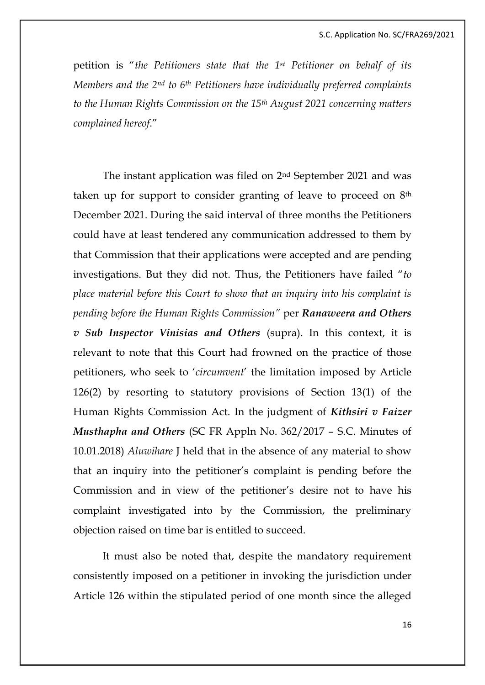petition is "*the Petitioners state that the 1st Petitioner on behalf of its Members and the 2nd to 6th Petitioners have individually preferred complaints to the Human Rights Commission on the 15th August 2021 concerning matters complained hereof*."

The instant application was filed on 2nd September 2021 and was taken up for support to consider granting of leave to proceed on 8th December 2021. During the said interval of three months the Petitioners could have at least tendered any communication addressed to them by that Commission that their applications were accepted and are pending investigations. But they did not. Thus, the Petitioners have failed "*to place material before this Court to show that an inquiry into his complaint is pending before the Human Rights Commission"* per *Ranaweera and Others v Sub Inspector Vinisias and Others* (supra). In this context, it is relevant to note that this Court had frowned on the practice of those petitioners, who seek to '*circumvent*' the limitation imposed by Article 126(2) by resorting to statutory provisions of Section 13(1) of the Human Rights Commission Act. In the judgment of *Kithsiri v Faizer Musthapha and Others* (SC FR Appln No. 362/2017 – S.C. Minutes of 10.01.2018) *Aluwihare* J held that in the absence of any material to show that an inquiry into the petitioner's complaint is pending before the Commission and in view of the petitioner's desire not to have his complaint investigated into by the Commission, the preliminary objection raised on time bar is entitled to succeed.

It must also be noted that, despite the mandatory requirement consistently imposed on a petitioner in invoking the jurisdiction under Article 126 within the stipulated period of one month since the alleged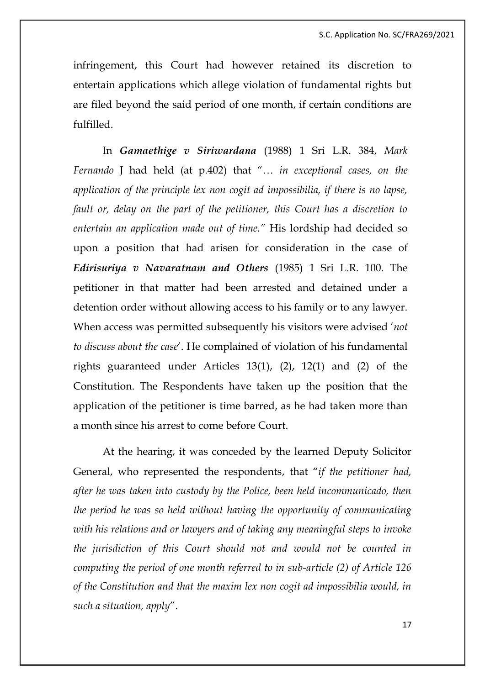infringement, this Court had however retained its discretion to entertain applications which allege violation of fundamental rights but are filed beyond the said period of one month, if certain conditions are fulfilled.

In *Gamaethige v Siriwardana* (1988) 1 Sri L.R. 384, *Mark Fernando* J had held (at p.402) that "… *in exceptional cases, on the application of the principle lex non cogit ad impossibilia, if there is no lapse, fault or, delay on the part of the petitioner, this Court has a discretion to entertain an application made out of time."* His lordship had decided so upon a position that had arisen for consideration in the case of *Edirisuriya v Navaratnam and Others* (1985) 1 Sri L.R. 100. The petitioner in that matter had been arrested and detained under a detention order without allowing access to his family or to any lawyer. When access was permitted subsequently his visitors were advised '*not to discuss about the case*'. He complained of violation of his fundamental rights guaranteed under Articles 13(1), (2), 12(1) and (2) of the Constitution. The Respondents have taken up the position that the application of the petitioner is time barred, as he had taken more than a month since his arrest to come before Court.

At the hearing, it was conceded by the learned Deputy Solicitor General, who represented the respondents, that "*if the petitioner had, after he was taken into custody by the Police, been held incommunicado, then the period he was so held without having the opportunity of communicating with his relations and or lawyers and of taking any meaningful steps to invoke the jurisdiction of this Court should not and would not be counted in computing the period of one month referred to in sub-article (2) of Article 126 of the Constitution and that the maxim lex non cogit ad impossibilia would, in such a situation, apply*".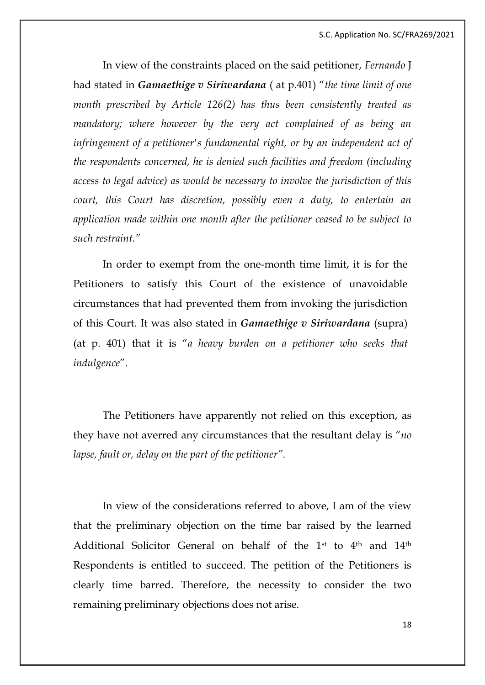In view of the constraints placed on the said petitioner, *Fernando* J had stated in *Gamaethige v Siriwardana* ( at p.401) "*the time limit of one month prescribed by Article 126(2) has thus been consistently treated as mandatory; where however by the very act complained of as being an infringement of a petitioner's fundamental right, or by an independent act of the respondents concerned, he is denied such facilities and freedom (including access to legal advice) as would be necessary to involve the jurisdiction of this court, this Court has discretion, possibly even a duty, to entertain an application made within one month after the petitioner ceased to be subject to such restraint."*

In order to exempt from the one-month time limit, it is for the Petitioners to satisfy this Court of the existence of unavoidable circumstances that had prevented them from invoking the jurisdiction of this Court. It was also stated in *Gamaethige v Siriwardana* (supra) (at p. 401) that it is "*a heavy burden on a petitioner who seeks that indulgence*".

The Petitioners have apparently not relied on this exception, as they have not averred any circumstances that the resultant delay is "*no lapse, fault or, delay on the part of the petitioner".* 

In view of the considerations referred to above, I am of the view that the preliminary objection on the time bar raised by the learned Additional Solicitor General on behalf of the 1st to 4<sup>th</sup> and 14<sup>th</sup> Respondents is entitled to succeed. The petition of the Petitioners is clearly time barred. Therefore, the necessity to consider the two remaining preliminary objections does not arise.